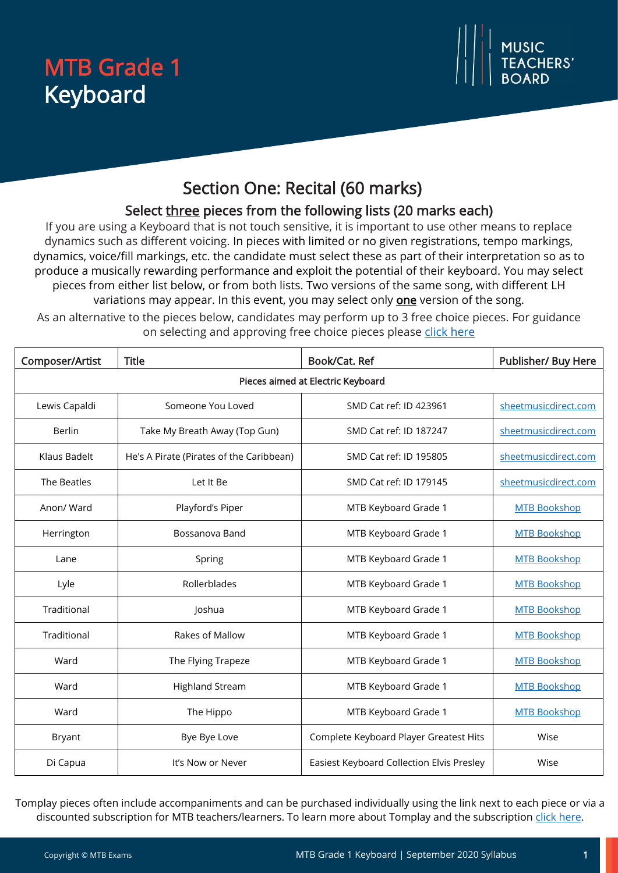# MTB Grade 1 Keyboard



# Section One: Recital (60 marks)

### Select three pieces from the following lists (20 marks each)

If you are using a Keyboard that is not touch sensitive, it is important to use other means to replace dynamics such as different voicing. In pieces with limited or no given registrations, tempo markings, dynamics, voice/fill markings, etc. the candidate must select these as part of their interpretation so as to produce a musically rewarding performance and exploit the potential of their keyboard. You may select pieces from either list below, or from both lists. Two versions of the same song, with different LH variations may appear. In this event, you may select only **one** version of the song.

As an alternative to the pieces below, candidates may perform up to 3 free choice pieces. For guidance on selecting and approving free choice pieces please [click here](https://www.mtbexams.com/how-it-works/free-choice-pieces-guidance/)

| Composer/Artist                   | <b>Title</b>                             | Book/Cat. Ref                             | Publisher/ Buy Here  |  |
|-----------------------------------|------------------------------------------|-------------------------------------------|----------------------|--|
| Pieces aimed at Electric Keyboard |                                          |                                           |                      |  |
| Lewis Capaldi                     | Someone You Loved                        | SMD Cat ref: ID 423961                    | sheetmusicdirect.com |  |
| <b>Berlin</b>                     | Take My Breath Away (Top Gun)            | SMD Cat ref: ID 187247                    | sheetmusicdirect.com |  |
| Klaus Badelt                      | He's A Pirate (Pirates of the Caribbean) | SMD Cat ref: ID 195805                    | sheetmusicdirect.com |  |
| The Beatles                       | Let It Be                                | SMD Cat ref: ID 179145                    | sheetmusicdirect.com |  |
| Anon/ Ward                        | Playford's Piper                         | MTB Keyboard Grade 1                      | <b>MTB Bookshop</b>  |  |
| Herrington                        | Bossanova Band                           | MTB Keyboard Grade 1                      | <b>MTB Bookshop</b>  |  |
| Lane                              | Spring                                   | MTB Keyboard Grade 1                      | <b>MTB Bookshop</b>  |  |
| Lyle                              | Rollerblades                             | MTB Keyboard Grade 1                      | <b>MTB Bookshop</b>  |  |
| Traditional                       | Joshua                                   | MTB Keyboard Grade 1                      | <b>MTB Bookshop</b>  |  |
| Traditional                       | Rakes of Mallow                          | MTB Keyboard Grade 1                      | <b>MTB Bookshop</b>  |  |
| Ward                              | The Flying Trapeze                       | MTB Keyboard Grade 1                      | <b>MTB Bookshop</b>  |  |
| Ward                              | <b>Highland Stream</b>                   | MTB Keyboard Grade 1                      | <b>MTB Bookshop</b>  |  |
| Ward                              | The Hippo                                | MTB Keyboard Grade 1                      | <b>MTB Bookshop</b>  |  |
| Bryant                            | Bye Bye Love                             | Complete Keyboard Player Greatest Hits    | Wise                 |  |
| Di Capua                          | It's Now or Never                        | Easiest Keyboard Collection Elvis Presley | Wise                 |  |

Tomplay pieces often include accompaniments and can be purchased individually using the link next to each piece or via a discounted subscription for MTB teachers/learners. To learn more about Tomplay and the subscription [click here.](https://www.mtbexams.com/2020/09/14/mtb-partner-with-tomplay/)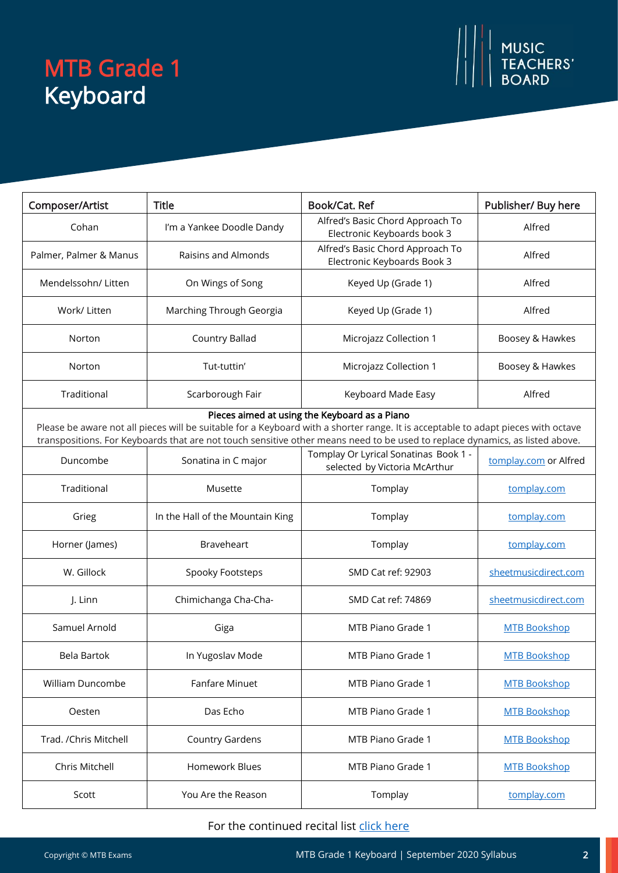# MTB Grade 1 Keyboard

| Composer/Artist                                                                                                                                                                                                                                                                                                    | <b>Title</b>                     | Book/Cat. Ref                                                          | Publisher/ Buy here   |  |
|--------------------------------------------------------------------------------------------------------------------------------------------------------------------------------------------------------------------------------------------------------------------------------------------------------------------|----------------------------------|------------------------------------------------------------------------|-----------------------|--|
| Cohan                                                                                                                                                                                                                                                                                                              | I'm a Yankee Doodle Dandy        | Alfred's Basic Chord Approach To<br>Electronic Keyboards book 3        | Alfred                |  |
| Palmer, Palmer & Manus                                                                                                                                                                                                                                                                                             | Raisins and Almonds              | Alfred's Basic Chord Approach To<br>Electronic Keyboards Book 3        | Alfred                |  |
| Mendelssohn/ Litten                                                                                                                                                                                                                                                                                                | On Wings of Song                 | Keyed Up (Grade 1)                                                     | Alfred                |  |
| Work/ Litten                                                                                                                                                                                                                                                                                                       | Marching Through Georgia         | Keyed Up (Grade 1)                                                     | Alfred                |  |
| Norton                                                                                                                                                                                                                                                                                                             | Country Ballad                   | Microjazz Collection 1                                                 | Boosey & Hawkes       |  |
| Norton                                                                                                                                                                                                                                                                                                             | Tut-tuttin'                      | Microjazz Collection 1                                                 | Boosey & Hawkes       |  |
| Traditional                                                                                                                                                                                                                                                                                                        | Scarborough Fair                 | Keyboard Made Easy                                                     | Alfred                |  |
| Pieces aimed at using the Keyboard as a Piano<br>Please be aware not all pieces will be suitable for a Keyboard with a shorter range. It is acceptable to adapt pieces with octave<br>transpositions. For Keyboards that are not touch sensitive other means need to be used to replace dynamics, as listed above. |                                  |                                                                        |                       |  |
| Duncombe                                                                                                                                                                                                                                                                                                           | Sonatina in C major              | Tomplay Or Lyrical Sonatinas Book 1 -<br>selected by Victoria McArthur | tomplay.com or Alfred |  |
| Traditional                                                                                                                                                                                                                                                                                                        | Musette                          | Tomplay                                                                | tomplay.com           |  |
| Grieg                                                                                                                                                                                                                                                                                                              | In the Hall of the Mountain King | Tomplay                                                                | tomplay.com           |  |
| Horner (James)                                                                                                                                                                                                                                                                                                     | <b>Braveheart</b>                | Tomplay                                                                | tomplay.com           |  |
| W. Gillock                                                                                                                                                                                                                                                                                                         | Spooky Footsteps                 | SMD Cat ref: 92903                                                     | sheetmusicdirect.com  |  |
| J. Linn                                                                                                                                                                                                                                                                                                            | Chimichanga Cha-Cha-             | SMD Cat ref: 74869                                                     | sheetmusicdirect.com  |  |
| Samuel Arnold                                                                                                                                                                                                                                                                                                      | Giga                             | MTB Piano Grade 1                                                      | <b>MTB Bookshop</b>   |  |
| Bela Bartok                                                                                                                                                                                                                                                                                                        | In Yugoslav Mode                 | MTB Piano Grade 1                                                      | <b>MTB Bookshop</b>   |  |
| William Duncombe                                                                                                                                                                                                                                                                                                   | Fanfare Minuet                   | MTB Piano Grade 1                                                      | <b>MTB Bookshop</b>   |  |
| Oesten                                                                                                                                                                                                                                                                                                             | Das Echo                         | MTB Piano Grade 1                                                      | <b>MTB Bookshop</b>   |  |
| Trad. /Chris Mitchell                                                                                                                                                                                                                                                                                              | <b>Country Gardens</b>           | MTB Piano Grade 1                                                      | <b>MTB Bookshop</b>   |  |
| Chris Mitchell                                                                                                                                                                                                                                                                                                     | Homework Blues                   | MTB Piano Grade 1                                                      | <b>MTB Bookshop</b>   |  |
| Scott                                                                                                                                                                                                                                                                                                              | You Are the Reason               | Tomplay                                                                | tomplay.com           |  |

#### For the continued recital list [click here](https://www.mtbexams.com/wp-content/uploads/2021/02/MTB-Keyboard-Grade-1-Continued-Recital-list.pdf)

MUSIC<br>TEACHERS'<br>BOARD